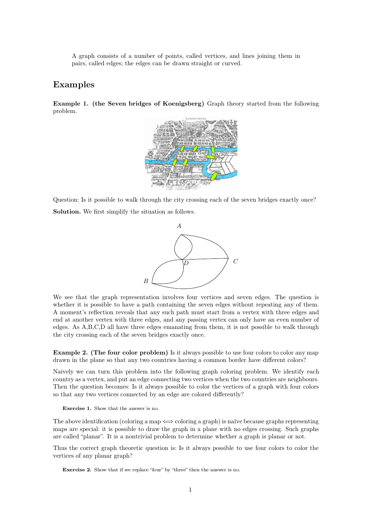A graph consists of a number of points, called vertices, and lines joining them in A graph consists of a number of points, called vertices, and lines joining them in pairs, called edges; the edges can be drawn straight or curved.

## **Examples**

**Example 1. (the Seven bridges of Koenigsberg)** Graph theory started from the following problem.



Question: Is it possible to walk through the city crossing each of the seven bridges exactly once?<br>Solution. We first simplify the situation as follows Solution. We first simplify the situation as follows.<br> **Solution.** We first simplify the situation as follows.



We see that the graph representation involves four vertices and seven edges. The question is whether it is possible to have a path containing the seven edges without repeating any of them. We see that the graph representation involves four vertices and seven edges. The question is whether it is possible to have a path containing the seven edges without repeating any of them.<br>A moment's reflection reveals th A moment's reflection reveals that any such path must start from a vertex with three edges and end at another vertex with three edges, and any passing vertex can only have an even number of  $\mathbb{R}^n$ . We see that the graph representation involves four vertices and seven edges. The question is<br>whether it is possible to have a path containing the seven edges without repeating any of them.<br>A moment's reflection reveals th We see that the graph representation involves four vertices and seven edges. The question is whether it is possible to have a path containing the seven edges without repeating any of them. A moment's reflection reveals tha We see that the graph representation involves four vertice<br>whether it is possible to have a path containing the seven  $\epsilon$ <br>A moment's reflection reveals that any such path must star<br>end at another vertex with three edges, **Example 2. (The four color problem)** Is it always possible to use four colors to color any map drawn in the plane so that any two countries having a common border have different colors? drawn in the plane so that any two countries having three term only have an even hallber of edges. As A,B,C,D all have three edges emanating from them, it is not possible to walk through the city crossing each of the seven

the city crossing each of the seven bridges exactly once.<br> **Example 2.** (The four color problem) Is it always possible to use four colors to color any map<br>
drawn in the plane so that any two countries having a common borde **Example 2. (The four color problem)** Is it always possible to use four colors to color any map drawn in the plane so that any two countries having a common border have different colors?<br>Naively we can turn this problem in **Example 2. (The four color problem)** Is it always possible to use four colors to color any map drawn in the plane so that any two countries having a common border have different colors?<br>Naively we can turn this problem in drawn in the plane so that any two countries having a common border have  $\tilde{c}$ <br>Naively we can turn this problem into the following graph coloring problem<br>country as a vertex, and put an edge connecting two vertices whe Exercise 1. Show that the answer is no.<br> **Exercise** 1. Show that the answer is no.

Then the question becomes: Is it always possible to color the vertices of a graph with four colors<br>so that any two vertices connected by an edge are colored differently?<br>**Exercise 1.** Show that the answer is no.<br>The above so that any two vertices connected by an edge are colored differently?<br> **Exercise 1.** Show that the answer is no.<br>
The above identification (coloring a map  $\iff$  coloring a graph) is naïve because graphs representing<br>
maps **Exercise 1.** Show that the answer is no.<br>The above identification (coloring a map  $\iff$  coloring a graph) is naïve because graphs representing maps are special: it is possible to draw the graph in a plane with no edges cr The above identification (coloring a map  $\iff$  coloring a graph) is naïve because graphs representing maps are special: it is possible to draw the graph in a plane with no edges crossing. Such graphs are called "planar". I The above identification (coloring a m<br>maps are special: it is possible to dra<br>are called "planar". It is a nontrivial<br>Thus the correct graph theoretic que<br>vertices of any planar graph?

Thus the correct graph theoretic question is: Is it always possible to use four colors to color the vertices of any planar graph?<br>**Exercise 2.** Show that if we replace "four" by "three" then the answer is no.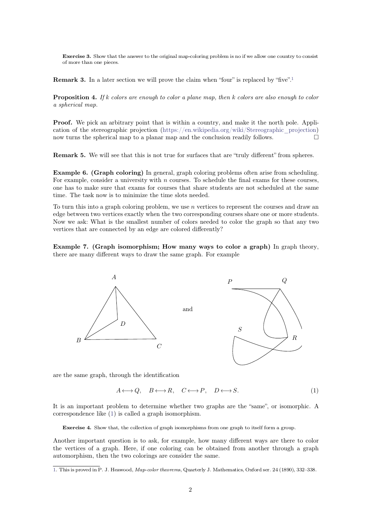**Exercise 3.** Show that the answer to the original map-coloring problem is no if we allow one country to consist **Exercise 3.** Show that the a<br>of more than one pieces. of more than one pieces.<br>**Remark 3.** In a later section we will prove the claim when "four" is replaced by "five".<sup>1</sup>

<span id="page-1-1"></span>

**Proposition 4.** *If k colors are enough to color a plane map, then k colors are also enough to color a spherical map.* **Remark 3.** In a late<br>**Proposition 4.** If k a spherical map.

**Proposition 4.** If k colors are enough to color a plane map, then k colors are also enough to color a spherical map.<br>**Proof.** We pick an arbitrary point that is within a country, and make it the north pole. Application o **Proposition 4.** If k colors are enough to color a plane map, then k colors are also enough to color a spherical map.<br> **Proof.** We pick an arbitrary point that is within a country, and make it the north pole. Application **Proof.** We pick an arbitrary point that is within a country, and make it the north pole. Application of the stereographic projection (https://en.wikipedia.org/wiki/Stereographic\_projection) now turns the spherical map to **Proof.** We pick an arbitrary point that is within a country, and make it the north pole. Application of the stereographic projection (https://en.wikipedia.org/wiki/Stereographic\_projection) now turns the spherical map to

**Example 6.** (Graph coloring) In general, graph coloring problems often arise from scheduling.<br> **Example 6.** (Graph coloring) In general, graph coloring problems often arise from scheduling.<br>
For example, consider a unive **Remark 5.** We will see that this is not true for surfaces that are "truly different" from spheres.<br>**Example 6. (Graph coloring)** In general, graph coloring problems often arise from scheduling.<br>For example, consider a uni **Remark 5.** We will see that this is not true for surfaces that are "truly different" from spheres.<br>**Example 6.** (Graph coloring) In general, graph coloring problems often arise from scheduling.<br>For example, consider a un **Example 6. (Graph coloring)** In general, graph coloring process that **Example**, consider a university with *n* courses. To schedulone has to make sure that exams for courses that share stud time. The task now is to minim **Example 6. (Graph coloring)** In general, graph coloring problems often arise from scheduling.<br>For example, consider a university with *n* courses. To schedule the final exams for these courses, one has to make sure that For example, consider a university with  $n$  courses. To schedule the final exams for these courses, one has to make sure that exams for courses that share students are not scheduled at the same time. The task now is to mi

one has to make sure that exams for courses that share students are not scheduled at the same<br>time. The task now is to minimize the time slots needed.<br>To turn this into a graph coloring problem, we use  $n$  vertices to rep time. The task now is to minimize the time slots needed.<br>To turn this into a graph coloring problem, we use  $n$  vertices to represe<br>edge between two vertices exactly when the two corresponding courses<br>Now we ask: What is **Example 7. (Graph isomorphism; How many ways to color a graph)** In graph theory, there are many different ways to draw the same graph. For example 2. (Graph isomorphism; How many ways to color a graph) In graph theory, th Now we ask: What is the smallest number of colors needed to color the graph so that any two<br>vertices that are connected by an edge are colored differently?<br>**Example 7.** (Graph isomorphism; How many ways to color a graph) I



<span id="page-1-0"></span>
$$
A \longleftrightarrow Q, \quad B \longleftrightarrow R, \quad C \longleftrightarrow P, \quad D \longleftrightarrow S. \tag{1}
$$

arethe same graph, through the identification<br>  $A \longleftrightarrow Q$ ,  $B \longleftrightarrow R$ ,  $C \longleftrightarrow P$ ,  $D \longleftrightarrow S$ . (1)<br>
It is an important problem to determine whether two graphs are the "same", or isomorphic. A<br>
correspondence like (1) is called a graph i are the same graph, through the identification<br>  $A \leftrightarrow Q, \quad B \leftrightarrow R, \quad C \leftrightarrow P,$ <br>
It is an important problem to determine whether two graph<br>
correspondence like (1) is called a graph isomorphism. **Exercise** 4. Show that, the collection of graph isomorphisms from one graph to itself form a group.

It is an important problem to determine whether two graphs are the "same", or isomorphic. A correspondence like (1) is called a graph isomorphism.<br> **Exercise 4.** Show that, the collection of graph isomorphisms from one gra the vertices of a graph. Here, if one coloring can be obtained from another through a graph.<br>Another important question is to ask, for example, how many different ways are there to color<br>the vertices of a graph. Here, if Exercise 4. Show that, the collection of graph isomorphisms from one g<br>Another important question is to ask, for example, how many d<br>the vertices of a graph. Here, if one coloring can be obtained<br>automorphism, then the two [1.](#page-1-1) This is proved in P. J. Heawood, *Map-color theorems*, Quarterly J. Mathematics, Oxford ser. 24 (1890), 332–338.